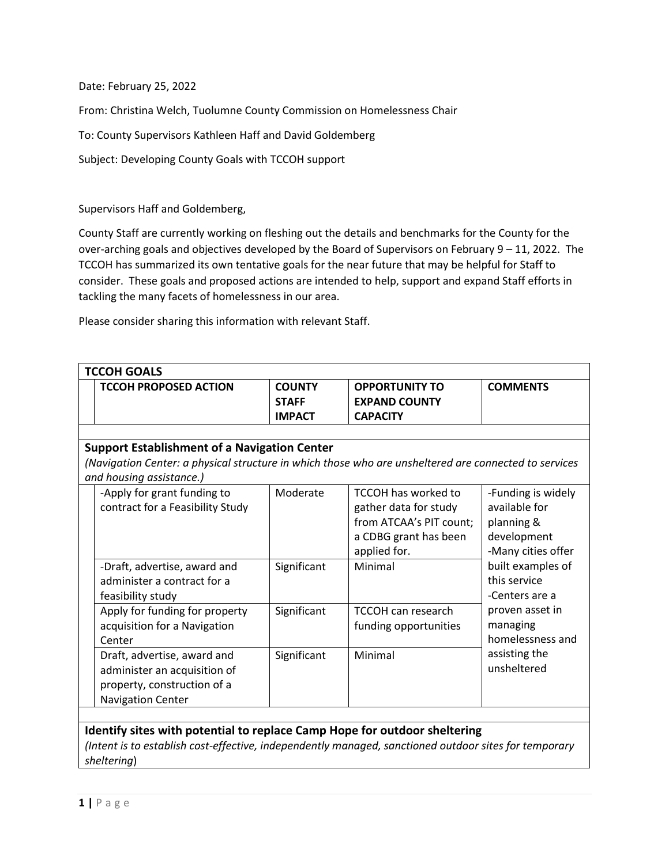Date: February 25, 2022

From: Christina Welch, Tuolumne County Commission on Homelessness Chair

To: County Supervisors Kathleen Haff and David Goldemberg

Subject: Developing County Goals with TCCOH support

Supervisors Haff and Goldemberg,

County Staff are currently working on fleshing out the details and benchmarks for the County for the over-arching goals and objectives developed by the Board of Supervisors on February 9 – 11, 2022. The TCCOH has summarized its own tentative goals for the near future that may be helpful for Staff to consider. These goals and proposed actions are intended to help, support and expand Staff efforts in tackling the many facets of homelessness in our area.

Please consider sharing this information with relevant Staff.

| <b>TCCOH GOALS</b>                                                                                    |                                                     |                                                |                                                                  |                    |  |  |  |  |
|-------------------------------------------------------------------------------------------------------|-----------------------------------------------------|------------------------------------------------|------------------------------------------------------------------|--------------------|--|--|--|--|
|                                                                                                       | <b>TCCOH PROPOSED ACTION</b>                        | <b>COUNTY</b><br><b>STAFF</b><br><b>IMPACT</b> | <b>OPPORTUNITY TO</b><br><b>EXPAND COUNTY</b><br><b>CAPACITY</b> | <b>COMMENTS</b>    |  |  |  |  |
|                                                                                                       |                                                     |                                                |                                                                  |                    |  |  |  |  |
|                                                                                                       | <b>Support Establishment of a Navigation Center</b> |                                                |                                                                  |                    |  |  |  |  |
| (Navigation Center: a physical structure in which those who are unsheltered are connected to services |                                                     |                                                |                                                                  |                    |  |  |  |  |
|                                                                                                       | and housing assistance.)                            |                                                |                                                                  |                    |  |  |  |  |
|                                                                                                       | -Apply for grant funding to                         | Moderate                                       | <b>TCCOH has worked to</b>                                       | -Funding is widely |  |  |  |  |
|                                                                                                       | contract for a Feasibility Study                    |                                                | gather data for study                                            | available for      |  |  |  |  |
|                                                                                                       |                                                     |                                                | from ATCAA's PIT count;                                          | planning &         |  |  |  |  |
|                                                                                                       |                                                     |                                                | a CDBG grant has been                                            | development        |  |  |  |  |
|                                                                                                       |                                                     |                                                | applied for.                                                     | -Many cities offer |  |  |  |  |
|                                                                                                       | -Draft, advertise, award and                        | Significant                                    | Minimal                                                          | built examples of  |  |  |  |  |
|                                                                                                       | administer a contract for a                         |                                                |                                                                  | this service       |  |  |  |  |
|                                                                                                       | feasibility study                                   |                                                |                                                                  | -Centers are a     |  |  |  |  |
|                                                                                                       | Apply for funding for property                      | Significant                                    | <b>TCCOH can research</b>                                        | proven asset in    |  |  |  |  |
|                                                                                                       | acquisition for a Navigation                        |                                                | funding opportunities                                            | managing           |  |  |  |  |
|                                                                                                       | Center                                              |                                                |                                                                  | homelessness and   |  |  |  |  |
|                                                                                                       | Draft, advertise, award and                         | Significant                                    | Minimal                                                          | assisting the      |  |  |  |  |
|                                                                                                       | administer an acquisition of                        |                                                |                                                                  | unsheltered        |  |  |  |  |
|                                                                                                       | property, construction of a                         |                                                |                                                                  |                    |  |  |  |  |
|                                                                                                       | <b>Navigation Center</b>                            |                                                |                                                                  |                    |  |  |  |  |
|                                                                                                       |                                                     |                                                |                                                                  |                    |  |  |  |  |

## **Identify sites with potential to replace Camp Hope for outdoor sheltering** *(Intent is to establish cost-effective, independently managed, sanctioned outdoor sites for temporary sheltering*)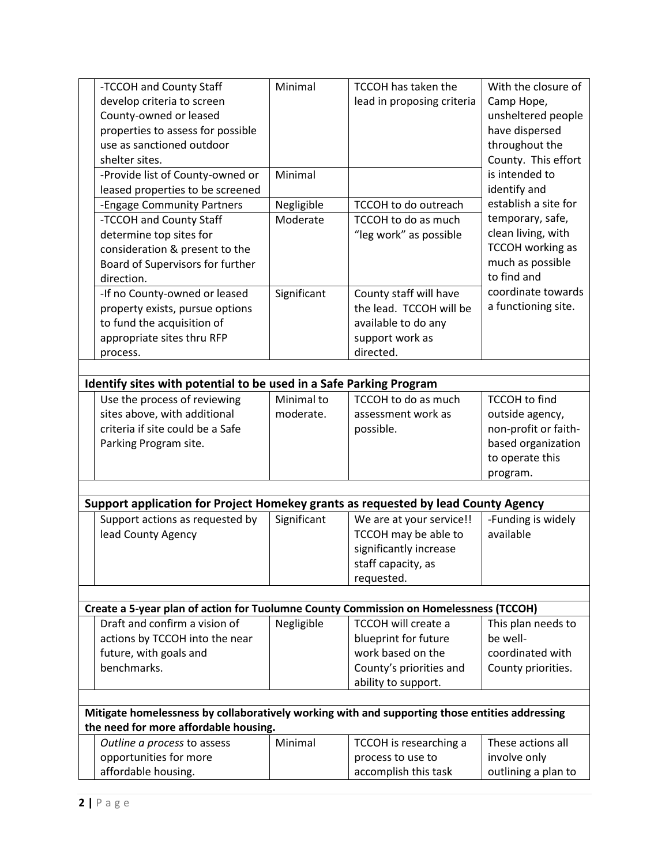| develop criteria to screen                                                                                                              | Minimal     | <b>TCCOH has taken the</b> | With the closure of                                                               |  |  |  |  |  |  |  |
|-----------------------------------------------------------------------------------------------------------------------------------------|-------------|----------------------------|-----------------------------------------------------------------------------------|--|--|--|--|--|--|--|
|                                                                                                                                         |             | lead in proposing criteria | Camp Hope,                                                                        |  |  |  |  |  |  |  |
| County-owned or leased                                                                                                                  |             |                            | unsheltered people                                                                |  |  |  |  |  |  |  |
| properties to assess for possible                                                                                                       |             |                            | have dispersed                                                                    |  |  |  |  |  |  |  |
| use as sanctioned outdoor                                                                                                               |             |                            | throughout the                                                                    |  |  |  |  |  |  |  |
| shelter sites.                                                                                                                          |             |                            | County. This effort                                                               |  |  |  |  |  |  |  |
| -Provide list of County-owned or                                                                                                        | Minimal     |                            | is intended to                                                                    |  |  |  |  |  |  |  |
| leased properties to be screened                                                                                                        |             |                            | identify and                                                                      |  |  |  |  |  |  |  |
| -Engage Community Partners                                                                                                              | Negligible  | TCCOH to do outreach       | establish a site for                                                              |  |  |  |  |  |  |  |
| -TCCOH and County Staff                                                                                                                 | Moderate    | TCCOH to do as much        | temporary, safe,                                                                  |  |  |  |  |  |  |  |
| determine top sites for                                                                                                                 |             | "leg work" as possible     | clean living, with                                                                |  |  |  |  |  |  |  |
| consideration & present to the                                                                                                          |             |                            | <b>TCCOH</b> working as                                                           |  |  |  |  |  |  |  |
| Board of Supervisors for further                                                                                                        |             |                            | much as possible                                                                  |  |  |  |  |  |  |  |
| direction.                                                                                                                              |             |                            | to find and                                                                       |  |  |  |  |  |  |  |
| -If no County-owned or leased                                                                                                           | Significant | County staff will have     | coordinate towards                                                                |  |  |  |  |  |  |  |
| property exists, pursue options                                                                                                         |             | the lead. TCCOH will be    | a functioning site.                                                               |  |  |  |  |  |  |  |
| to fund the acquisition of                                                                                                              |             | available to do any        |                                                                                   |  |  |  |  |  |  |  |
| appropriate sites thru RFP                                                                                                              |             | support work as            |                                                                                   |  |  |  |  |  |  |  |
| process.                                                                                                                                |             | directed.                  |                                                                                   |  |  |  |  |  |  |  |
|                                                                                                                                         |             |                            |                                                                                   |  |  |  |  |  |  |  |
| Identify sites with potential to be used in a Safe Parking Program                                                                      |             |                            |                                                                                   |  |  |  |  |  |  |  |
| Use the process of reviewing                                                                                                            | Minimal to  | TCCOH to do as much        | <b>TCCOH</b> to find                                                              |  |  |  |  |  |  |  |
| sites above, with additional                                                                                                            | moderate.   | assessment work as         | outside agency,                                                                   |  |  |  |  |  |  |  |
| criteria if site could be a Safe                                                                                                        |             | possible.                  | non-profit or faith-                                                              |  |  |  |  |  |  |  |
| Parking Program site.                                                                                                                   |             |                            | based organization                                                                |  |  |  |  |  |  |  |
|                                                                                                                                         |             |                            | to operate this                                                                   |  |  |  |  |  |  |  |
|                                                                                                                                         |             |                            | program.                                                                          |  |  |  |  |  |  |  |
|                                                                                                                                         |             |                            |                                                                                   |  |  |  |  |  |  |  |
|                                                                                                                                         |             |                            | Support application for Project Homekey grants as requested by lead County Agency |  |  |  |  |  |  |  |
|                                                                                                                                         | Significant |                            |                                                                                   |  |  |  |  |  |  |  |
| Support actions as requested by                                                                                                         |             | We are at your service!!   | -Funding is widely                                                                |  |  |  |  |  |  |  |
| lead County Agency                                                                                                                      |             | TCCOH may be able to       | available                                                                         |  |  |  |  |  |  |  |
|                                                                                                                                         |             | significantly increase     |                                                                                   |  |  |  |  |  |  |  |
|                                                                                                                                         |             | staff capacity, as         |                                                                                   |  |  |  |  |  |  |  |
|                                                                                                                                         |             | requested.                 |                                                                                   |  |  |  |  |  |  |  |
|                                                                                                                                         |             |                            |                                                                                   |  |  |  |  |  |  |  |
| Create a 5-year plan of action for Tuolumne County Commission on Homelessness (TCCOH)                                                   |             |                            |                                                                                   |  |  |  |  |  |  |  |
| Draft and confirm a vision of                                                                                                           | Negligible  | TCCOH will create a        | This plan needs to                                                                |  |  |  |  |  |  |  |
| actions by TCCOH into the near                                                                                                          |             | blueprint for future       | be well-                                                                          |  |  |  |  |  |  |  |
| future, with goals and                                                                                                                  |             | work based on the          | coordinated with                                                                  |  |  |  |  |  |  |  |
| benchmarks.                                                                                                                             |             | County's priorities and    | County priorities.                                                                |  |  |  |  |  |  |  |
|                                                                                                                                         |             | ability to support.        |                                                                                   |  |  |  |  |  |  |  |
|                                                                                                                                         |             |                            |                                                                                   |  |  |  |  |  |  |  |
| Mitigate homelessness by collaboratively working with and supporting those entities addressing<br>the need for more affordable housing. |             |                            |                                                                                   |  |  |  |  |  |  |  |
| Outline a process to assess                                                                                                             | Minimal     | TCCOH is researching a     | These actions all                                                                 |  |  |  |  |  |  |  |
| opportunities for more<br>affordable housing.                                                                                           |             | process to use to          | involve only                                                                      |  |  |  |  |  |  |  |
|                                                                                                                                         |             |                            |                                                                                   |  |  |  |  |  |  |  |